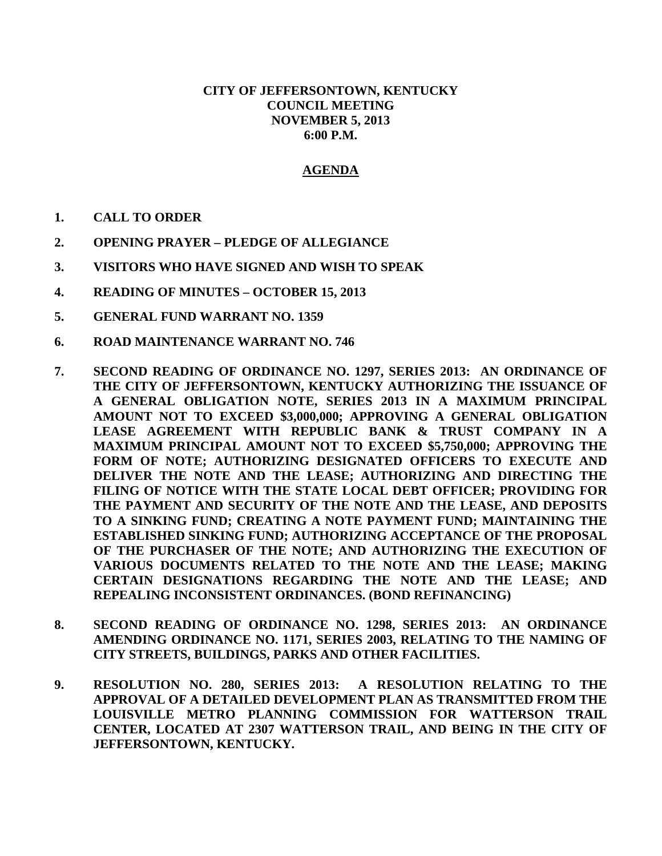## **CITY OF JEFFERSONTOWN, KENTUCKY COUNCIL MEETING NOVEMBER 5, 2013 6:00 P.M.**

## **AGENDA**

- **1. CALL TO ORDER**
- **2. OPENING PRAYER – PLEDGE OF ALLEGIANCE**
- **3. VISITORS WHO HAVE SIGNED AND WISH TO SPEAK**
- **4. READING OF MINUTES – OCTOBER 15, 2013**
- **5. GENERAL FUND WARRANT NO. 1359**
- **6. ROAD MAINTENANCE WARRANT NO. 746**
- **7. SECOND READING OF ORDINANCE NO. 1297, SERIES 2013: AN ORDINANCE OF THE CITY OF JEFFERSONTOWN, KENTUCKY AUTHORIZING THE ISSUANCE OF A GENERAL OBLIGATION NOTE, SERIES 2013 IN A MAXIMUM PRINCIPAL AMOUNT NOT TO EXCEED \$3,000,000; APPROVING A GENERAL OBLIGATION LEASE AGREEMENT WITH REPUBLIC BANK & TRUST COMPANY IN A MAXIMUM PRINCIPAL AMOUNT NOT TO EXCEED \$5,750,000; APPROVING THE FORM OF NOTE; AUTHORIZING DESIGNATED OFFICERS TO EXECUTE AND DELIVER THE NOTE AND THE LEASE; AUTHORIZING AND DIRECTING THE FILING OF NOTICE WITH THE STATE LOCAL DEBT OFFICER; PROVIDING FOR THE PAYMENT AND SECURITY OF THE NOTE AND THE LEASE, AND DEPOSITS TO A SINKING FUND; CREATING A NOTE PAYMENT FUND; MAINTAINING THE ESTABLISHED SINKING FUND; AUTHORIZING ACCEPTANCE OF THE PROPOSAL OF THE PURCHASER OF THE NOTE; AND AUTHORIZING THE EXECUTION OF VARIOUS DOCUMENTS RELATED TO THE NOTE AND THE LEASE; MAKING CERTAIN DESIGNATIONS REGARDING THE NOTE AND THE LEASE; AND REPEALING INCONSISTENT ORDINANCES. (BOND REFINANCING)**
- **8. SECOND READING OF ORDINANCE NO. 1298, SERIES 2013: AN ORDINANCE AMENDING ORDINANCE NO. 1171, SERIES 2003, RELATING TO THE NAMING OF CITY STREETS, BUILDINGS, PARKS AND OTHER FACILITIES.**
- **9. RESOLUTION NO. 280, SERIES 2013: A RESOLUTION RELATING TO THE APPROVAL OF A DETAILED DEVELOPMENT PLAN AS TRANSMITTED FROM THE LOUISVILLE METRO PLANNING COMMISSION FOR WATTERSON TRAIL CENTER, LOCATED AT 2307 WATTERSON TRAIL, AND BEING IN THE CITY OF JEFFERSONTOWN, KENTUCKY.**